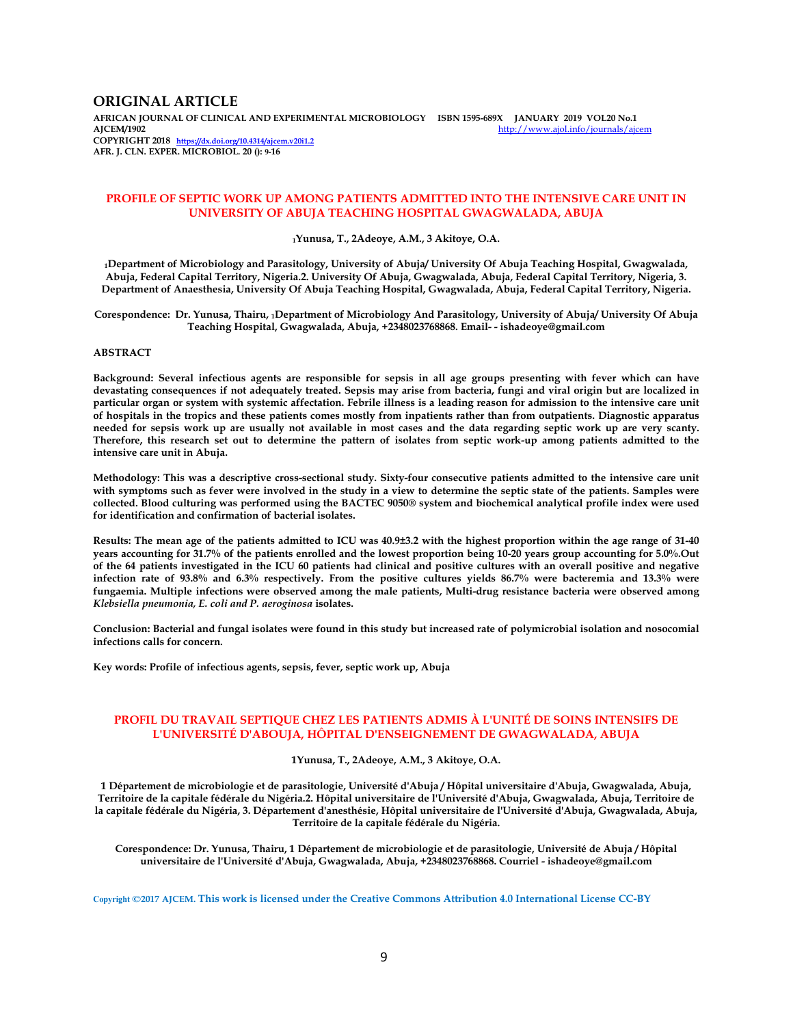## **ORIGINAL ARTICLE**

**AFRICAN JOURNAL OF CLINICAL AND EXPERIMENTAL MICROBIOLOGY ISBN 1595-689X JANUARY 2019 VOL20 No.1**  http://www.ajol.info/journals/ajcem **COPYRIGHT 2018 https://dx.doi.org/10.4314/ajcem.v20i1.2 AFR. J. CLN. EXPER. MICROBIOL. 20 (): 9-16**

## **PROFILE OF SEPTIC WORK UP AMONG PATIENTS ADMITTED INTO THE INTENSIVE CARE UNIT IN UNIVERSITY OF ABUJA TEACHING HOSPITAL GWAGWALADA, ABUJA**

**<sup>1</sup>Yunusa, T., 2Adeoye, A.M., 3 Akitoye, O.A.**

**<sup>1</sup>Department of Microbiology and Parasitology, University of Abuja/ University Of Abuja Teaching Hospital, Gwagwalada, Abuja, Federal Capital Territory, Nigeria.2. University Of Abuja, Gwagwalada, Abuja, Federal Capital Territory, Nigeria, 3. Department of Anaesthesia, University Of Abuja Teaching Hospital, Gwagwalada, Abuja, Federal Capital Territory, Nigeria.** 

**Corespondence: Dr. Yunusa, Thairu, 1Department of Microbiology And Parasitology, University of Abuja/ University Of Abuja Teaching Hospital, Gwagwalada, Abuja, +2348023768868. Email- - ishadeoye@gmail.com** 

#### **ABSTRACT**

**Background: Several infectious agents are responsible for sepsis in all age groups presenting with fever which can have devastating consequences if not adequately treated. Sepsis may arise from bacteria, fungi and viral origin but are localized in particular organ or system with systemic affectation. Febrile illness is a leading reason for admission to the intensive care unit of hospitals in the tropics and these patients comes mostly from inpatients rather than from outpatients. Diagnostic apparatus needed for sepsis work up are usually not available in most cases and the data regarding septic work up are very scanty. Therefore, this research set out to determine the pattern of isolates from septic work-up among patients admitted to the intensive care unit in Abuja.** 

**Methodology: This was a descriptive cross-sectional study. Sixty-four consecutive patients admitted to the intensive care unit with symptoms such as fever were involved in the study in a view to determine the septic state of the patients. Samples were collected. Blood culturing was performed using the BACTEC 9050® system and biochemical analytical profile index were used for identification and confirmation of bacterial isolates.** 

**Results: The mean age of the patients admitted to ICU was 40.9±3.2 with the highest proportion within the age range of 31-40 years accounting for 31.7% of the patients enrolled and the lowest proportion being 10-20 years group accounting for 5.0%.Out of the 64 patients investigated in the ICU 60 patients had clinical and positive cultures with an overall positive and negative infection rate of 93.8% and 6.3% respectively. From the positive cultures yields 86.7% were bacteremia and 13.3% were fungaemia. Multiple infections were observed among the male patients, Multi-drug resistance bacteria were observed among**  *Klebsiella pneumonia, E. coli and P. aeroginosa* **isolates.** 

**Conclusion: Bacterial and fungal isolates were found in this study but increased rate of polymicrobial isolation and nosocomial infections calls for concern.** 

**Key words: Profile of infectious agents, sepsis, fever, septic work up, Abuja** 

# **PROFIL DU TRAVAIL SEPTIQUE CHEZ LES PATIENTS ADMIS À L'UNITÉ DE SOINS INTENSIFS DE L'UNIVERSITÉ D'ABOUJA, HÔPITAL D'ENSEIGNEMENT DE GWAGWALADA, ABUJA**

**1Yunusa, T., 2Adeoye, A.M., 3 Akitoye, O.A.** 

**1 Département de microbiologie et de parasitologie, Université d'Abuja / Hôpital universitaire d'Abuja, Gwagwalada, Abuja, Territoire de la capitale fédérale du Nigéria.2. Hôpital universitaire de l'Université d'Abuja, Gwagwalada, Abuja, Territoire de la capitale fédérale du Nigéria, 3. Département d'anesthésie, Hôpital universitaire de l'Université d'Abuja, Gwagwalada, Abuja, Territoire de la capitale fédérale du Nigéria.** 

**Corespondence: Dr. Yunusa, Thairu, 1 Département de microbiologie et de parasitologie, Université de Abuja / Hôpital universitaire de l'Université d'Abuja, Gwagwalada, Abuja, +2348023768868. Courriel - ishadeoye@gmail.com**

**Copyright ©2017 AJCEM. This work is licensed under the Creative Commons Attribution 4.0 International License CC-BY**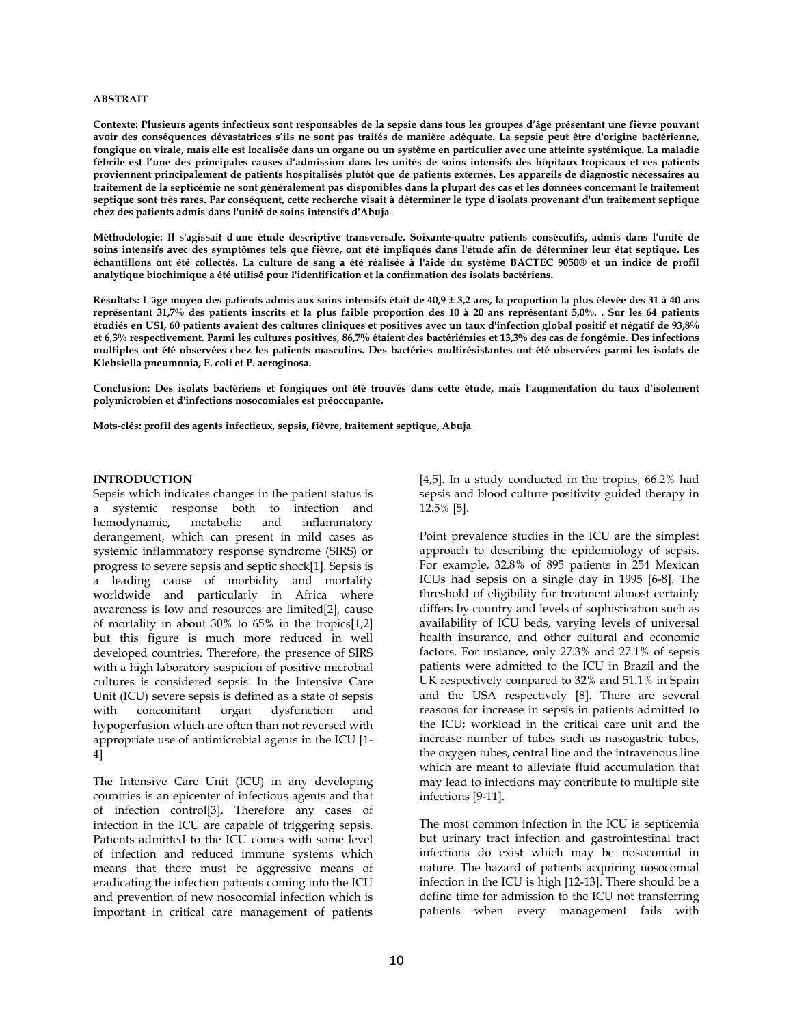#### **ABSTRAIT**

**Contexte: Plusieurs agents infectieux sont responsables de la sepsie dans tous les groupes d'âge présentant une fièvre pouvant avoir des conséquences dévastatrices s'ils ne sont pas traités de manière adéquate. La sepsie peut être d'origine bactérienne, fongique ou virale, mais elle est localisée dans un organe ou un système en particulier avec une atteinte systémique. La maladie fébrile est l'une des principales causes d'admission dans les unités de soins intensifs des hôpitaux tropicaux et ces patients proviennent principalement de patients hospitalisés plutôt que de patients externes. Les appareils de diagnostic nécessaires au traitement de la septicémie ne sont généralement pas disponibles dans la plupart des cas et les données concernant le traitement septique sont très rares. Par conséquent, cette recherche visait à déterminer le type d'isolats provenant d'un traitement septique chez des patients admis dans l'unité de soins intensifs d'Abuja** 

**Méthodologie: Il s'agissait d'une étude descriptive transversale. Soixante-quatre patients consécutifs, admis dans l'unité de soins intensifs avec des symptômes tels que fièvre, ont été impliqués dans l'étude afin de déterminer leur état septique. Les échantillons ont été collectés. La culture de sang a été réalisée à l'aide du système BACTEC 9050® et un indice de profil analytique biochimique a été utilisé pour l'identification et la confirmation des isolats bactériens.** 

**Résultats: L'âge moyen des patients admis aux soins intensifs était de 40,9 ± 3,2 ans, la proportion la plus élevée des 31 à 40 ans représentant 31,7% des patients inscrits et la plus faible proportion des 10 à 20 ans représentant 5,0%. . Sur les 64 patients étudiés en USI, 60 patients avaient des cultures cliniques et positives avec un taux d'infection global positif et négatif de 93,8% et 6,3% respectivement. Parmi les cultures positives, 86,7% étaient des bactériémies et 13,3% des cas de fongémie. Des infections multiples ont été observées chez les patients masculins. Des bactéries multirésistantes ont été observées parmi les isolats de Klebsiella pneumonia, E. coli et P. aeroginosa.** 

**Conclusion: Des isolats bactériens et fongiques ont été trouvés dans cette étude, mais l'augmentation du taux d'isolement polymicrobien et d'infections nosocomiales est préoccupante.** 

**Mots-clés: profil des agents infectieux, sepsis, fièvre, traitement septique, Abuja** 

## **INTRODUCTION**

Sepsis which indicates changes in the patient status is a systemic response both to infection and hemodynamic, metabolic and inflammatory derangement, which can present in mild cases as systemic inflammatory response syndrome (SIRS) or progress to severe sepsis and septic shock[1]. Sepsis is a leading cause of morbidity and mortality worldwide and particularly in Africa where awareness is low and resources are limited[2], cause of mortality in about 30% to 65% in the tropics[1,2] but this figure is much more reduced in well developed countries. Therefore, the presence of SIRS with a high laboratory suspicion of positive microbial cultures is considered sepsis. In the Intensive Care Unit (ICU) severe sepsis is defined as a state of sepsis with concomitant organ dysfunction and hypoperfusion which are often than not reversed with appropriate use of antimicrobial agents in the ICU [1- 4]

The Intensive Care Unit (ICU) in any developing countries is an epicenter of infectious agents and that of infection control[3]. Therefore any cases of infection in the ICU are capable of triggering sepsis. Patients admitted to the ICU comes with some level of infection and reduced immune systems which means that there must be aggressive means of eradicating the infection patients coming into the ICU and prevention of new nosocomial infection which is important in critical care management of patients

[4,5]. In a study conducted in the tropics, 66.2% had sepsis and blood culture positivity guided therapy in 12.5% [5].

Point prevalence studies in the ICU are the simplest approach to describing the epidemiology of sepsis. For example, 32.8% of 895 patients in 254 Mexican ICUs had sepsis on a single day in 1995 [6-8]. The threshold of eligibility for treatment almost certainly differs by country and levels of sophistication such as availability of ICU beds, varying levels of universal health insurance, and other cultural and economic factors. For instance, only 27.3% and 27.1% of sepsis patients were admitted to the ICU in Brazil and the UK respectively compared to 32% and 51.1% in Spain and the USA respectively [8]. There are several reasons for increase in sepsis in patients admitted to the ICU; workload in the critical care unit and the increase number of tubes such as nasogastric tubes, the oxygen tubes, central line and the intravenous line which are meant to alleviate fluid accumulation that may lead to infections may contribute to multiple site infections [9-11].

The most common infection in the ICU is septicemia but urinary tract infection and gastrointestinal tract infections do exist which may be nosocomial in nature. The hazard of patients acquiring nosocomial infection in the ICU is high [12-13]. There should be a define time for admission to the ICU not transferring patients when every management fails with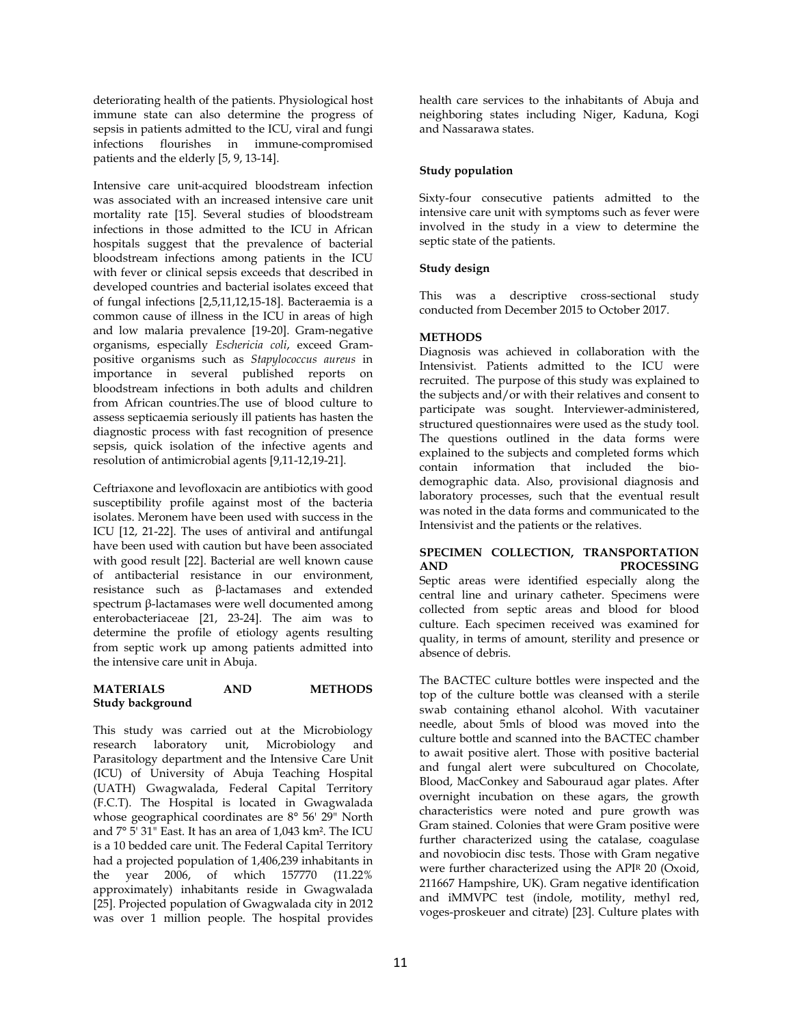deteriorating health of the patients. Physiological host immune state can also determine the progress of sepsis in patients admitted to the ICU, viral and fungi infections flourishes in immune-compromised patients and the elderly [5, 9, 13-14].

Intensive care unit-acquired bloodstream infection was associated with an increased intensive care unit mortality rate [15]. Several studies of bloodstream infections in those admitted to the ICU in African hospitals suggest that the prevalence of bacterial bloodstream infections among patients in the ICU with fever or clinical sepsis exceeds that described in developed countries and bacterial isolates exceed that of fungal infections [2,5,11,12,15-18]. Bacteraemia is a common cause of illness in the ICU in areas of high and low malaria prevalence [19-20]. Gram-negative organisms, especially *Eschericia coli*, exceed Grampositive organisms such as *Stapylococcus aureus* in importance in several published reports on bloodstream infections in both adults and children from African countries.The use of blood culture to assess septicaemia seriously ill patients has hasten the diagnostic process with fast recognition of presence sepsis, quick isolation of the infective agents and resolution of antimicrobial agents [9,11-12,19-21].

Ceftriaxone and levofloxacin are antibiotics with good susceptibility profile against most of the bacteria isolates. Meronem have been used with success in the ICU [12, 21-22]. The uses of antiviral and antifungal have been used with caution but have been associated with good result [22]. Bacterial are well known cause of antibacterial resistance in our environment, resistance such as β-lactamases and extended spectrum β-lactamases were well documented among enterobacteriaceae [21, 23-24]. The aim was to determine the profile of etiology agents resulting from septic work up among patients admitted into the intensive care unit in Abuja.

# **MATERIALS AND METHODS Study background**

This study was carried out at the Microbiology research laboratory unit, Microbiology and Parasitology department and the Intensive Care Unit (ICU) of University of Abuja Teaching Hospital (UATH) Gwagwalada, Federal Capital Territory (F.C.T). The Hospital is located in Gwagwalada whose geographical coordinates are 8° 56' 29" North and 7° 5' 31" East. It has an area of 1,043 km². The ICU is a 10 bedded care unit. The Federal Capital Territory had a projected population of 1,406,239 inhabitants in the year 2006, of which 157770 (11.22% approximately) inhabitants reside in Gwagwalada [25]. Projected population of Gwagwalada city in 2012 was over 1 million people. The hospital provides

health care services to the inhabitants of Abuja and neighboring states including Niger, Kaduna, Kogi and Nassarawa states.

# **Study population**

Sixty-four consecutive patients admitted to the intensive care unit with symptoms such as fever were involved in the study in a view to determine the septic state of the patients.

# **Study design**

This was a descriptive cross-sectional study conducted from December 2015 to October 2017.

# **METHODS**

Diagnosis was achieved in collaboration with the Intensivist. Patients admitted to the ICU were recruited. The purpose of this study was explained to the subjects and/or with their relatives and consent to participate was sought. Interviewer-administered, structured questionnaires were used as the study tool. The questions outlined in the data forms were explained to the subjects and completed forms which contain information that included the biodemographic data. Also, provisional diagnosis and laboratory processes, such that the eventual result was noted in the data forms and communicated to the Intensivist and the patients or the relatives.

# **SPECIMEN COLLECTION, TRANSPORTATION AND PROCESSING**

Septic areas were identified especially along the central line and urinary catheter. Specimens were collected from septic areas and blood for blood culture. Each specimen received was examined for quality, in terms of amount, sterility and presence or absence of debris.

The BACTEC culture bottles were inspected and the top of the culture bottle was cleansed with a sterile swab containing ethanol alcohol. With vacutainer needle, about 5mls of blood was moved into the culture bottle and scanned into the BACTEC chamber to await positive alert. Those with positive bacterial and fungal alert were subcultured on Chocolate, Blood, MacConkey and Sabouraud agar plates. After overnight incubation on these agars, the growth characteristics were noted and pure growth was Gram stained. Colonies that were Gram positive were further characterized using the catalase, coagulase and novobiocin disc tests. Those with Gram negative were further characterized using the APIR 20 (Oxoid, 211667 Hampshire, UK). Gram negative identification and iMMVPC test (indole, motility, methyl red, voges-proskeuer and citrate) [23]. Culture plates with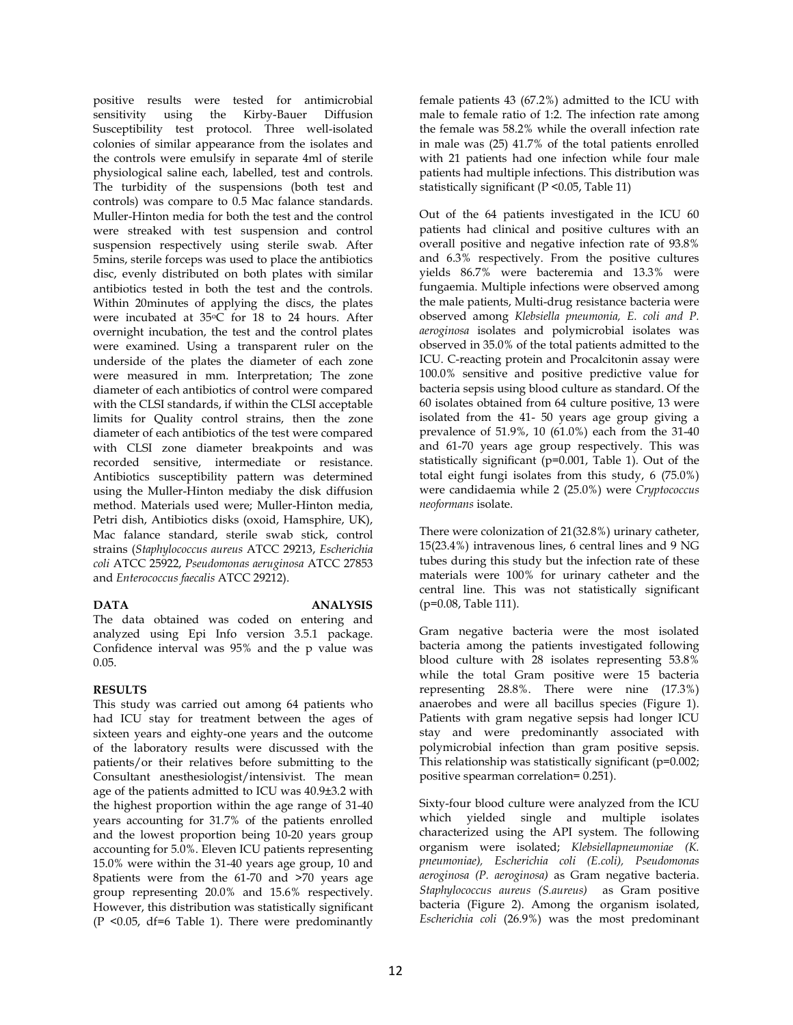positive results were tested for antimicrobial sensitivity using the Susceptibility test protocol. Three well-isolated colonies of similar appearance from the isolates and the controls were emulsify in separate 4ml of sterile physiological saline each, labelled, test and controls. The turbidity of the suspensions (both test and controls) was compare to 0.5 Mac falance standards. Muller-Hinton media for both the test and the control were streaked with test suspension and control suspension respectively using sterile swab. After 5mins, sterile forceps was used to place the antibiotics disc, evenly distributed on both plates with similar antibiotics tested in both the test and the controls. Within 20minutes of applying the discs, the plates were incubated at 35oC for 18 to 24 hours. After overnight incubation, the test and the control plates were examined. Using a transparent ruler on the underside of the plates the diameter of each zone were measured in mm. Interpretation; The zone diameter of each antibiotics of control were compared with the CLSI standards, if within the CLSI acceptable limits for Quality control strains, then the zone diameter of each antibiotics of the test were compared with CLSI zone diameter breakpoints and was recorded sensitive, intermediate or resistance. Antibiotics susceptibility pattern was determined using the Muller-Hinton mediaby the disk diffusion method. Materials used were; Muller-Hinton media, Petri dish, Antibiotics disks (oxoid, Hamsphire, UK), Mac falance standard, sterile swab stick, control strains (*Staphylococcus aureus* ATCC 29213, *Escherichia coli* ATCC 25922, *Pseudomonas aeruginosa* ATCC 27853 and *Enterococcus faecalis* ATCC 29212).

# **DATA ANALYSIS**

The data obtained was coded on entering and analyzed using Epi Info version 3.5.1 package. Confidence interval was 95% and the p value was 0.05.

# **RESULTS**

This study was carried out among 64 patients who had ICU stay for treatment between the ages of sixteen years and eighty-one years and the outcome of the laboratory results were discussed with the patients/or their relatives before submitting to the Consultant anesthesiologist/intensivist. The mean age of the patients admitted to ICU was 40.9±3.2 with the highest proportion within the age range of 31-40 years accounting for 31.7% of the patients enrolled and the lowest proportion being 10-20 years group accounting for 5.0%. Eleven ICU patients representing 15.0% were within the 31-40 years age group, 10 and 8patients were from the 61-70 and >70 years age group representing 20.0% and 15.6% respectively. However, this distribution was statistically significant (P <0.05, df=6 Table 1). There were predominantly female patients 43 (67.2%) admitted to the ICU with male to female ratio of 1:2. The infection rate among the female was 58.2% while the overall infection rate in male was (25) 41.7% of the total patients enrolled with 21 patients had one infection while four male patients had multiple infections. This distribution was statistically significant (P <0.05, Table 11)

Out of the 64 patients investigated in the ICU 60 patients had clinical and positive cultures with an overall positive and negative infection rate of 93.8% and 6.3% respectively. From the positive cultures yields 86.7% were bacteremia and 13.3% were fungaemia. Multiple infections were observed among the male patients, Multi-drug resistance bacteria were observed among *Klebsiella pneumonia, E. coli and P. aeroginosa* isolates and polymicrobial isolates was observed in 35.0% of the total patients admitted to the ICU. C-reacting protein and Procalcitonin assay were 100.0% sensitive and positive predictive value for bacteria sepsis using blood culture as standard. Of the 60 isolates obtained from 64 culture positive, 13 were isolated from the 41- 50 years age group giving a prevalence of 51.9%, 10 (61.0%) each from the 31-40 and 61-70 years age group respectively. This was statistically significant (p=0.001, Table 1). Out of the total eight fungi isolates from this study, 6 (75.0%) were candidaemia while 2 (25.0%) were *Cryptococcus neoformans* isolate.

There were colonization of 21(32.8%) urinary catheter, 15(23.4%) intravenous lines, 6 central lines and 9 NG tubes during this study but the infection rate of these materials were 100% for urinary catheter and the central line. This was not statistically significant (p=0.08, Table 111).

Gram negative bacteria were the most isolated bacteria among the patients investigated following blood culture with 28 isolates representing 53.8% while the total Gram positive were 15 bacteria representing 28.8%. There were nine (17.3%) anaerobes and were all bacillus species (Figure 1). Patients with gram negative sepsis had longer ICU stay and were predominantly associated with polymicrobial infection than gram positive sepsis. This relationship was statistically significant (p=0.002; positive spearman correlation= 0.251).

Sixty-four blood culture were analyzed from the ICU which yielded single and multiple isolates characterized using the API system. The following organism were isolated; *Klebsiellapneumoniae (K. pneumoniae), Escherichia coli (E.coli), Pseudomonas aeroginosa (P. aeroginosa)* as Gram negative bacteria. *Staphylococcus aureus (S.aureus)* as Gram positive bacteria (Figure 2). Among the organism isolated, *Escherichia coli* (26.9%) was the most predominant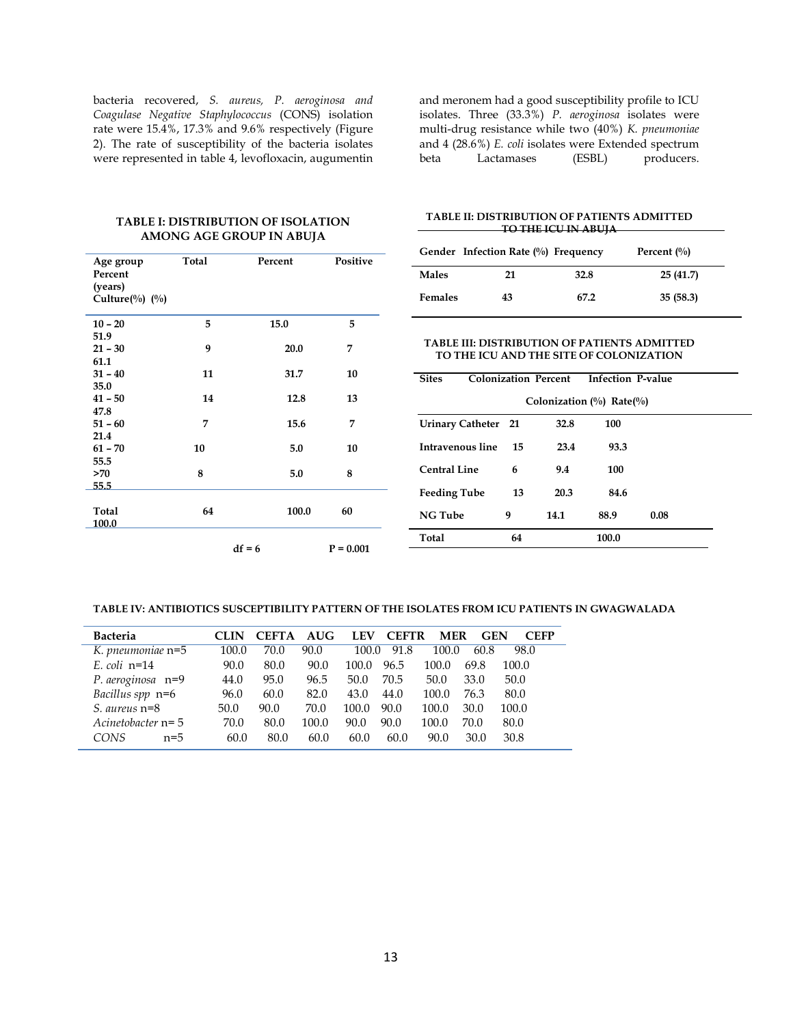bacteria recovered, *S. aureus, P. aeroginosa and Coagulase Negative Staphylococcus* (CONS) isolation rate were 15.4%, 17.3% and 9.6% respectively (Figure 2). The rate of susceptibility of the bacteria isolates were represented in table 4, levofloxacin, augumentin and meronem had a good susceptibility profile to ICU isolates. Three (33.3%) *P. aeroginosa* isolates were multi-drug resistance while two (40%) *K. pneumoniae* and 4 (28.6%) *E. coli* isolates were Extended spectrum<br>beta Lactamases (ESBL) producers. Lactamases

## **TABLE I: DISTRIBUTION OF ISOLATION AMONG AGE GROUP IN ABUJA**

| Age group         | Total | Percent  | Positive    |
|-------------------|-------|----------|-------------|
| Percent           |       |          |             |
| (years)           |       |          |             |
| Culture(%) $(\%)$ |       |          |             |
|                   |       |          |             |
| $10 - 20$         | 5     | 15.0     | 5           |
| 51.9              |       |          |             |
| $21 - 30$         | 9     | 20.0     | 7           |
| 61.1              |       |          |             |
| $31 - 40$         | 11    | 31.7     | 10          |
| 35.0              |       |          |             |
| $41 - 50$         | 14    | 12.8     | 13          |
| 47.8              |       |          |             |
| $51 - 60$         | 7     | 15.6     | 7           |
| 21.4              |       |          |             |
| $61 - 70$         | 10    | 5.0      | 10          |
| 55.5              |       |          |             |
| >70               | 8     | 5.0      | 8           |
| 55.5              |       |          |             |
|                   |       |          |             |
| Total             | 64    | 100.0    | 60          |
| 100.0             |       |          |             |
|                   |       |          |             |
|                   |       | $df = 6$ | $P = 0.001$ |

#### **TABLE II: DISTRIBUTION OF PATIENTS ADMITTED TO THE ICU IN ABUJA**

|                | Gender Infection Rate $(\%)$ Frequency |      | Percent $\binom{0}{0}$ |  |  |  |
|----------------|----------------------------------------|------|------------------------|--|--|--|
| <b>Males</b>   | 21                                     | 32.8 | 25(41.7)               |  |  |  |
| <b>Females</b> | 43                                     | 67.2 | 35(58.3)               |  |  |  |

## **TABLE III: DISTRIBUTION OF PATIENTS ADMITTED TO THE ICU AND THE SITE OF COLONIZATION**

| <b>Sites</b>        |    | <b>Colonization Percent</b> | <b>Infection P-value</b>        |      |  |
|---------------------|----|-----------------------------|---------------------------------|------|--|
|                     |    |                             | Colonization $(\%)$ Rate $(\%)$ |      |  |
| Urinary Catheter 21 |    | 32.8                        | 100                             |      |  |
| Intravenous line    | 15 | 23.4                        | 93.3                            |      |  |
| Central Line        | 6  | 9.4                         | 100                             |      |  |
| <b>Feeding Tube</b> | 13 | 20.3                        | 84.6                            |      |  |
| <b>NG Tube</b>      | 9  | 14.1                        | 88.9                            | 0.08 |  |
| Total               | 64 |                             | 100.0                           |      |  |

#### **TABLE IV: ANTIBIOTICS SUSCEPTIBILITY PATTERN OF THE ISOLATES FROM ICU PATIENTS IN GWAGWALADA**

| <b>Bacteria</b>     | CLIN  | <b>CEFTA</b> | <b>AUG</b> | <b>LEV</b> | <b>CEFTR</b> | <b>MER</b> | <b>GEN</b> | <b>CEFP</b> |
|---------------------|-------|--------------|------------|------------|--------------|------------|------------|-------------|
| K. pneumoniae n=5   | 100.0 | 70.0         | 90.0       | 100.0      | 91.8         | 100.0      | 60.8       | 98.0        |
| $E$ coli n=14       | 90.0  | 80.0         | 90.0       | 100.0      | 96.5         | 100.0      | 69.8       | 100.0       |
| P. aeroginosa n=9   | 44.0  | 95.0         | 96.5       | 50.0       | 70.5         | 50.0       | 33.0       | 50.0        |
| Bacillus spp n=6    | 96.0  | 60.0         | 82.0       | 43.0       | 44.0         | 100.0      | 76.3       | 80.0        |
| S. aureus $n=8$     | 50.0  | 90.0         | 70.0       | 100.0      | 90.0         | 100.0      | 30.0       | 100.0       |
| Acinetobacter $n=5$ | 70.0  | 80.0         | 100.0      | 90.0       | 90.0         | 100.0      | 70.0       | 80.0        |
| CONS<br>$n=5$       | 60.0  | 80.0         | 60.0       | 60.0       | 60.0         | 90.0       | 30.0       | 30.8        |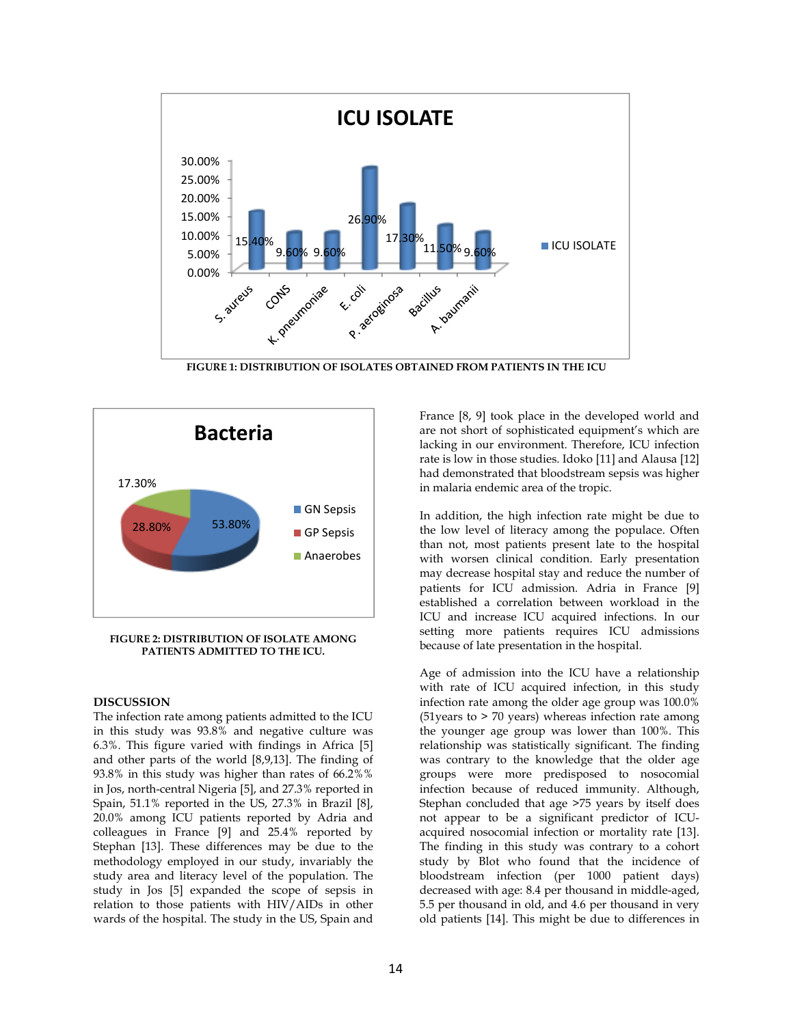

**FIGURE 1: DISTRIBUTION OF ISOLATES OBTAINED FROM PATIENTS IN THE ICU** 



**FIGURE 2: DISTRIBUTION OF ISOLATE AMONG PATIENTS ADMITTED TO THE ICU.** 

## **DISCUSSION**

The infection rate among patients admitted to the ICU in this study was 93.8% and negative culture was 6.3%. This figure varied with findings in Africa [5] and other parts of the world [8,9,13]. The finding of 93.8% in this study was higher than rates of 66.2%% in Jos, north-central Nigeria [5], and 27.3% reported in Spain, 51.1% reported in the US, 27.3% in Brazil [8], 20.0% among ICU patients reported by Adria and colleagues in France [9] and 25.4% reported by Stephan [13]. These differences may be due to the methodology employed in our study, invariably the study area and literacy level of the population. The study in Jos [5] expanded the scope of sepsis in relation to those patients with HIV/AIDs in other wards of the hospital. The study in the US, Spain and France [8, 9] took place in the developed world and are not short of sophisticated equipment's which are lacking in our environment. Therefore, ICU infection rate is low in those studies. Idoko [11] and Alausa [12] had demonstrated that bloodstream sepsis was higher in malaria endemic area of the tropic.

In addition, the high infection rate might be due to the low level of literacy among the populace. Often than not, most patients present late to the hospital with worsen clinical condition. Early presentation may decrease hospital stay and reduce the number of patients for ICU admission. Adria in France [9] established a correlation between workload in the ICU and increase ICU acquired infections. In our setting more patients requires ICU admissions because of late presentation in the hospital.

Age of admission into the ICU have a relationship with rate of ICU acquired infection, in this study infection rate among the older age group was 100.0% (51years to > 70 years) whereas infection rate among the younger age group was lower than 100%. This relationship was statistically significant. The finding was contrary to the knowledge that the older age groups were more predisposed to nosocomial infection because of reduced immunity. Although, Stephan concluded that age >75 years by itself does not appear to be a significant predictor of ICUacquired nosocomial infection or mortality rate [13]. The finding in this study was contrary to a cohort study by Blot who found that the incidence of bloodstream infection (per 1000 patient days) decreased with age: 8.4 per thousand in middle-aged, 5.5 per thousand in old, and 4.6 per thousand in very old patients [14]. This might be due to differences in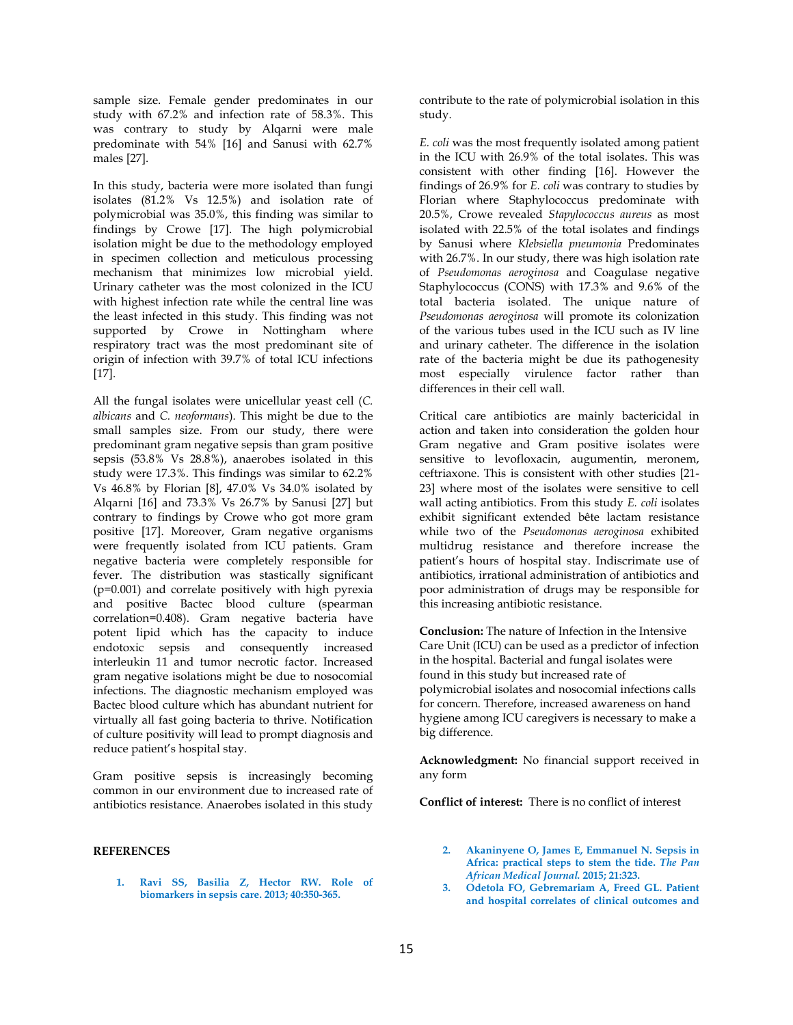sample size. Female gender predominates in our study with 67.2% and infection rate of 58.3%. This was contrary to study by Alqarni were male predominate with 54% [16] and Sanusi with 62.7% males [27].

In this study, bacteria were more isolated than fungi isolates (81.2% Vs 12.5%) and isolation rate of polymicrobial was 35.0%, this finding was similar to findings by Crowe [17]. The high polymicrobial isolation might be due to the methodology employed in specimen collection and meticulous processing mechanism that minimizes low microbial yield. Urinary catheter was the most colonized in the ICU with highest infection rate while the central line was the least infected in this study. This finding was not supported by Crowe in Nottingham where respiratory tract was the most predominant site of origin of infection with 39.7% of total ICU infections [17].

All the fungal isolates were unicellular yeast cell (*C. albicans* and *C. neoformans*). This might be due to the small samples size. From our study, there were predominant gram negative sepsis than gram positive sepsis (53.8% Vs 28.8%), anaerobes isolated in this study were 17.3%. This findings was similar to 62.2% Vs 46.8% by Florian [8], 47.0% Vs 34.0% isolated by Alqarni [16] and 73.3% Vs 26.7% by Sanusi [27] but contrary to findings by Crowe who got more gram positive [17]. Moreover, Gram negative organisms were frequently isolated from ICU patients. Gram negative bacteria were completely responsible for fever. The distribution was stastically significant (p=0.001) and correlate positively with high pyrexia and positive Bactec blood culture (spearman correlation=0.408). Gram negative bacteria have potent lipid which has the capacity to induce endotoxic sepsis and consequently increased interleukin 11 and tumor necrotic factor. Increased gram negative isolations might be due to nosocomial infections. The diagnostic mechanism employed was Bactec blood culture which has abundant nutrient for virtually all fast going bacteria to thrive. Notification of culture positivity will lead to prompt diagnosis and reduce patient's hospital stay.

Gram positive sepsis is increasingly becoming common in our environment due to increased rate of antibiotics resistance. Anaerobes isolated in this study

## **REFERENCES**

**1. Ravi SS, Basilia Z, Hector RW. Role of biomarkers in sepsis care. 2013; 40:350-365.** 

contribute to the rate of polymicrobial isolation in this study.

*E. coli* was the most frequently isolated among patient in the ICU with 26.9% of the total isolates. This was consistent with other finding [16]. However the findings of 26.9% for *E. coli* was contrary to studies by Florian where Staphylococcus predominate with 20.5%, Crowe revealed *Stapylococcus aureus* as most isolated with 22.5% of the total isolates and findings by Sanusi where *Klebsiella pneumonia* Predominates with 26.7%. In our study, there was high isolation rate of *Pseudomonas aeroginosa* and Coagulase negative Staphylococcus (CONS) with 17.3% and 9.6% of the total bacteria isolated. The unique nature of *Pseudomonas aeroginosa* will promote its colonization of the various tubes used in the ICU such as IV line and urinary catheter. The difference in the isolation rate of the bacteria might be due its pathogenesity most especially virulence factor rather than differences in their cell wall.

Critical care antibiotics are mainly bactericidal in action and taken into consideration the golden hour Gram negative and Gram positive isolates were sensitive to levofloxacin, augumentin, meronem, ceftriaxone. This is consistent with other studies [21- 23] where most of the isolates were sensitive to cell wall acting antibiotics. From this study *E. coli* isolates exhibit significant extended bête lactam resistance while two of the *Pseudomonas aeroginosa* exhibited multidrug resistance and therefore increase the patient's hours of hospital stay. Indiscrimate use of antibiotics, irrational administration of antibiotics and poor administration of drugs may be responsible for this increasing antibiotic resistance.

**Conclusion:** The nature of Infection in the Intensive Care Unit (ICU) can be used as a predictor of infection in the hospital. Bacterial and fungal isolates were found in this study but increased rate of polymicrobial isolates and nosocomial infections calls for concern. Therefore, increased awareness on hand hygiene among ICU caregivers is necessary to make a big difference.

**Acknowledgment:** No financial support received in any form

**Conflict of interest:** There is no conflict of interest

- **2. Akaninyene O, James E, Emmanuel N. Sepsis in Africa: practical steps to stem the tide.** *The Pan African Medical Journal.* **2015; 21:323.**
- **3. Odetola FO, Gebremariam A, Freed GL. Patient and hospital correlates of clinical outcomes and**